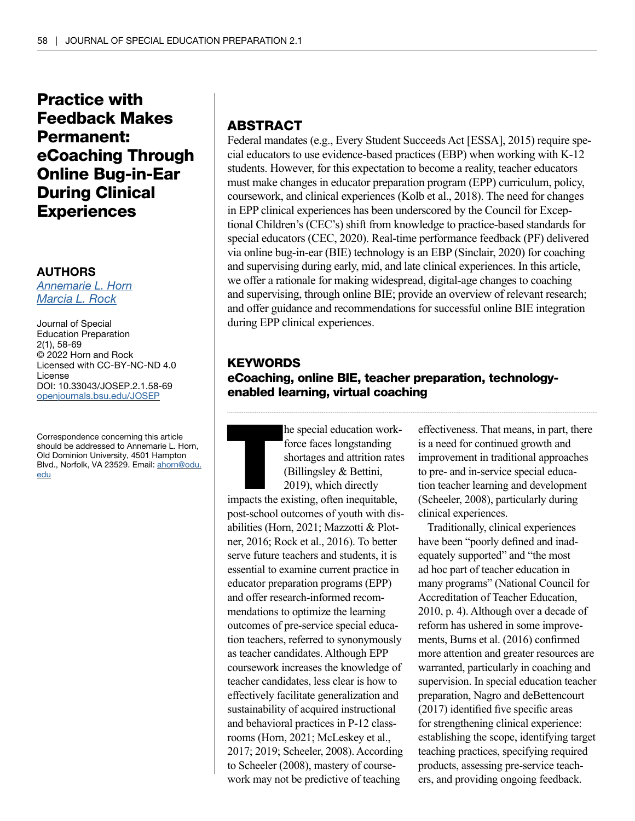# Practice with Feedback Makes Permanent: eCoaching Through Online Bug-in-Ear During Clinical **Experiences**

#### AUTHORS

*[Annemarie L. Horn](https://orcid.org/0000-0002-9595-9075) [Marcia L. Rock](https://orcid.org/0000-0002-6721-5079)*

Journal of Special Education Preparation 2(1), 58-69 © 2022 Horn and Rock Licensed with CC-BY-NC-ND 4.0 License DOI: 10.33043/JOSEP.2.1.58-69 [openjournals.bsu.edu/JOSEP](http://openjournals.bsu.edu/JOSEP)

Correspondence concerning this article should be addressed to Annemarie L. Horn, Old Dominion University, 4501 Hampton Blvd., Norfolk, VA 23529. Email: [ahorn@odu.](mailto:ahorn@odu.edu) [edu](mailto:ahorn@odu.edu)

# ABSTRACT

Federal mandates (e.g., Every Student Succeeds Act [ESSA], 2015) require special educators to use evidence-based practices (EBP) when working with K-12 students. However, for this expectation to become a reality, teacher educators must make changes in educator preparation program (EPP) curriculum, policy, coursework, and clinical experiences (Kolb et al., 2018). The need for changes in EPP clinical experiences has been underscored by the Council for Exceptional Children's (CEC's) shift from knowledge to practice-based standards for special educators (CEC, 2020). Real-time performance feedback (PF) delivered via online bug-in-ear (BIE) technology is an EBP (Sinclair, 2020) for coaching and supervising during early, mid, and late clinical experiences. In this article, we offer a rationale for making widespread, digital-age changes to coaching and supervising, through online BIE; provide an overview of relevant research; and offer guidance and recommendations for successful online BIE integration during EPP clinical experiences.

# **KEYWORDS** eCoaching, online BIE, teacher preparation, technologyenabled learning, virtual coaching

he special education work-<br>force faces longstanding<br>shortages and attrition rates<br>(Billingsley & Bettini,<br>2019), which directly<br>impacts the existing, often inequitable, force faces longstanding shortages and attrition rates (Billingsley & Bettini, 2019), which directly

post-school outcomes of youth with disabilities (Horn, 2021; Mazzotti & Plotner, 2016; Rock et al., 2016). To better serve future teachers and students, it is essential to examine current practice in educator preparation programs (EPP) and offer research-informed recommendations to optimize the learning outcomes of pre-service special education teachers, referred to synonymously as teacher candidates. Although EPP coursework increases the knowledge of teacher candidates, less clear is how to effectively facilitate generalization and sustainability of acquired instructional and behavioral practices in P-12 classrooms (Horn, 2021; McLeskey et al., 2017; 2019; Scheeler, 2008). According to Scheeler (2008), mastery of coursework may not be predictive of teaching

effectiveness. That means, in part, there is a need for continued growth and improvement in traditional approaches to pre- and in-service special education teacher learning and development (Scheeler, 2008), particularly during clinical experiences.

Traditionally, clinical experiences have been "poorly defined and inadequately supported" and "the most ad hoc part of teacher education in many programs" (National Council for Accreditation of Teacher Education, 2010, p. 4). Although over a decade of reform has ushered in some improvements, Burns et al. (2016) confirmed more attention and greater resources are warranted, particularly in coaching and supervision. In special education teacher preparation, Nagro and deBettencourt (2017) identified five specific areas for strengthening clinical experience: establishing the scope, identifying target teaching practices, specifying required products, assessing pre-service teachers, and providing ongoing feedback.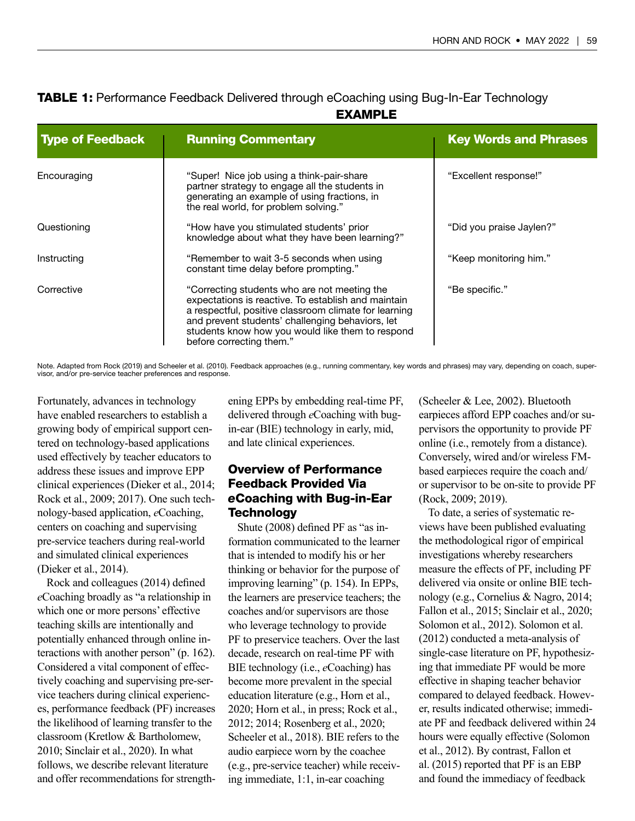|                         | <b>EXAMPLE</b>                                                                                                                                                                                                                                                                                   |                              |
|-------------------------|--------------------------------------------------------------------------------------------------------------------------------------------------------------------------------------------------------------------------------------------------------------------------------------------------|------------------------------|
| <b>Type of Feedback</b> | <b>Running Commentary</b>                                                                                                                                                                                                                                                                        | <b>Key Words and Phrases</b> |
| Encouraging             | "Super! Nice job using a think-pair-share<br>partner strategy to engage all the students in<br>generating an example of using fractions, in<br>the real world, for problem solving."                                                                                                             | "Excellent response!"        |
| Questioning             | "How have you stimulated students' prior<br>knowledge about what they have been learning?"                                                                                                                                                                                                       | "Did you praise Jaylen?"     |
| Instructing             | "Remember to wait 3-5 seconds when using<br>constant time delay before prompting."                                                                                                                                                                                                               | "Keep monitoring him."       |
| Corrective              | "Correcting students who are not meeting the<br>expectations is reactive. To establish and maintain<br>a respectful, positive classroom climate for learning<br>and prevent students' challenging behaviors, let<br>students know how you would like them to respond<br>before correcting them." | "Be specific."               |

# **TABLE 1:** Performance Feedback Delivered through eCoaching using Bug-In-Ear Technology

Note. Adapted from Rock (2019) and Scheeler et al. (2010). Feedback approaches (e.g., running commentary, key words and phrases) may vary, depending on coach, super-<br>visor, and/or pre-service teacher preferences and respon

Fortunately, advances in technology have enabled researchers to establish a growing body of empirical support centered on technology-based applications used effectively by teacher educators to address these issues and improve EPP clinical experiences (Dieker et al., 2014; Rock et al., 2009; 2017). One such technology-based application, *e*Coaching, centers on coaching and supervising pre-service teachers during real-world and simulated clinical experiences (Dieker et al., 2014).

Rock and colleagues (2014) defined *e*Coaching broadly as "a relationship in which one or more persons' effective teaching skills are intentionally and potentially enhanced through online interactions with another person" (p. 162). Considered a vital component of effectively coaching and supervising pre-service teachers during clinical experiences, performance feedback (PF) increases the likelihood of learning transfer to the classroom (Kretlow & Bartholomew, 2010; Sinclair et al., 2020). In what follows, we describe relevant literature and offer recommendations for strengthening EPPs by embedding real-time PF, delivered through *e*Coaching with bugin-ear (BIE) technology in early, mid, and late clinical experiences.

# Overview of Performance Feedback Provided Via *e*Coaching with Bug-in-Ear **Technology**

Shute (2008) defined PF as "as information communicated to the learner that is intended to modify his or her thinking or behavior for the purpose of improving learning" (p. 154). In EPPs, the learners are preservice teachers; the coaches and/or supervisors are those who leverage technology to provide PF to preservice teachers. Over the last decade, research on real-time PF with BIE technology (i.e., *e*Coaching) has become more prevalent in the special education literature (e.g., Horn et al., 2020; Horn et al., in press; Rock et al., 2012; 2014; Rosenberg et al., 2020; Scheeler et al., 2018). BIE refers to the audio earpiece worn by the coachee (e.g., pre-service teacher) while receiving immediate, 1:1, in-ear coaching

(Scheeler & Lee, 2002). Bluetooth earpieces afford EPP coaches and/or supervisors the opportunity to provide PF online (i.e., remotely from a distance). Conversely, wired and/or wireless FMbased earpieces require the coach and/ or supervisor to be on-site to provide PF (Rock, 2009; 2019).

To date, a series of systematic reviews have been published evaluating the methodological rigor of empirical investigations whereby researchers measure the effects of PF, including PF delivered via onsite or online BIE technology (e.g., Cornelius & Nagro, 2014; Fallon et al., 2015; Sinclair et al., 2020; Solomon et al., 2012). Solomon et al. (2012) conducted a meta-analysis of single-case literature on PF, hypothesizing that immediate PF would be more effective in shaping teacher behavior compared to delayed feedback. However, results indicated otherwise; immediate PF and feedback delivered within 24 hours were equally effective (Solomon et al., 2012). By contrast, Fallon et al. (2015) reported that PF is an EBP and found the immediacy of feedback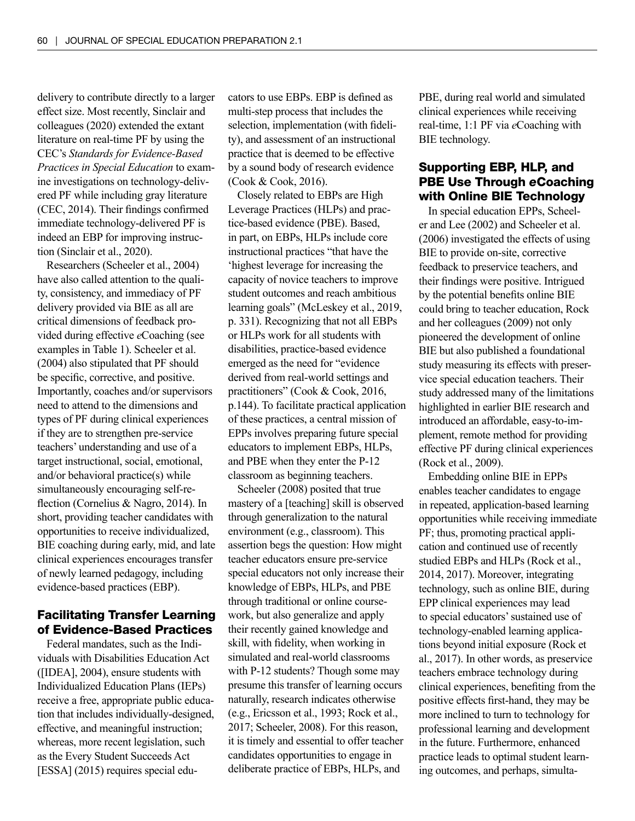delivery to contribute directly to a larger effect size. Most recently, Sinclair and colleagues (2020) extended the extant literature on real-time PF by using the CEC's *Standards for Evidence-Based Practices in Special Education* to examine investigations on technology-delivered PF while including gray literature (CEC, 2014). Their findings confirmed immediate technology-delivered PF is indeed an EBP for improving instruction (Sinclair et al., 2020).

Researchers (Scheeler et al., 2004) have also called attention to the quality, consistency, and immediacy of PF delivery provided via BIE as all are critical dimensions of feedback provided during effective *e*Coaching (see examples in Table 1). Scheeler et al. (2004) also stipulated that PF should be specific, corrective, and positive. Importantly, coaches and/or supervisors need to attend to the dimensions and types of PF during clinical experiences if they are to strengthen pre-service teachers' understanding and use of a target instructional, social, emotional, and/or behavioral practice(s) while simultaneously encouraging self-reflection (Cornelius & Nagro, 2014). In short, providing teacher candidates with opportunities to receive individualized, BIE coaching during early, mid, and late clinical experiences encourages transfer of newly learned pedagogy, including evidence-based practices (EBP).

# Facilitating Transfer Learning of Evidence-Based Practices

Federal mandates, such as the Individuals with Disabilities Education Act ([IDEA], 2004), ensure students with Individualized Education Plans (IEPs) receive a free, appropriate public education that includes individually-designed, effective, and meaningful instruction; whereas, more recent legislation, such as the Every Student Succeeds Act [ESSA] (2015) requires special educators to use EBPs. EBP is defined as multi-step process that includes the selection, implementation (with fidelity), and assessment of an instructional practice that is deemed to be effective by a sound body of research evidence (Cook & Cook, 2016).

Closely related to EBPs are High Leverage Practices (HLPs) and practice-based evidence (PBE). Based, in part, on EBPs, HLPs include core instructional practices "that have the 'highest leverage for increasing the capacity of novice teachers to improve student outcomes and reach ambitious learning goals" (McLeskey et al., 2019, p. 331). Recognizing that not all EBPs or HLPs work for all students with disabilities, practice-based evidence emerged as the need for "evidence derived from real-world settings and practitioners" (Cook & Cook, 2016, p.144). To facilitate practical application of these practices, a central mission of EPPs involves preparing future special educators to implement EBPs, HLPs, and PBE when they enter the P-12 classroom as beginning teachers.

Scheeler (2008) posited that true mastery of a [teaching] skill is observed through generalization to the natural environment (e.g., classroom). This assertion begs the question: How might teacher educators ensure pre-service special educators not only increase their knowledge of EBPs, HLPs, and PBE through traditional or online coursework, but also generalize and apply their recently gained knowledge and skill, with fidelity, when working in simulated and real-world classrooms with P-12 students? Though some may presume this transfer of learning occurs naturally, research indicates otherwise (e.g., Ericsson et al., 1993; Rock et al., 2017; Scheeler, 2008). For this reason, it is timely and essential to offer teacher candidates opportunities to engage in deliberate practice of EBPs, HLPs, and

PBE, during real world and simulated clinical experiences while receiving real-time, 1:1 PF via *e*Coaching with BIE technology.

# Supporting EBP, HLP, and PBE Use Through *e*Coaching with Online BIE Technology

In special education EPPs, Scheeler and Lee (2002) and Scheeler et al. (2006) investigated the effects of using BIE to provide on-site, corrective feedback to preservice teachers, and their findings were positive. Intrigued by the potential benefits online BIE could bring to teacher education, Rock and her colleagues (2009) not only pioneered the development of online BIE but also published a foundational study measuring its effects with preservice special education teachers. Their study addressed many of the limitations highlighted in earlier BIE research and introduced an affordable, easy-to-implement, remote method for providing effective PF during clinical experiences (Rock et al., 2009).

Embedding online BIE in EPPs enables teacher candidates to engage in repeated, application-based learning opportunities while receiving immediate PF; thus, promoting practical application and continued use of recently studied EBPs and HLPs (Rock et al., 2014, 2017). Moreover, integrating technology, such as online BIE, during EPP clinical experiences may lead to special educators' sustained use of technology-enabled learning applications beyond initial exposure (Rock et al., 2017). In other words, as preservice teachers embrace technology during clinical experiences, benefiting from the positive effects first-hand, they may be more inclined to turn to technology for professional learning and development in the future. Furthermore, enhanced practice leads to optimal student learning outcomes, and perhaps, simulta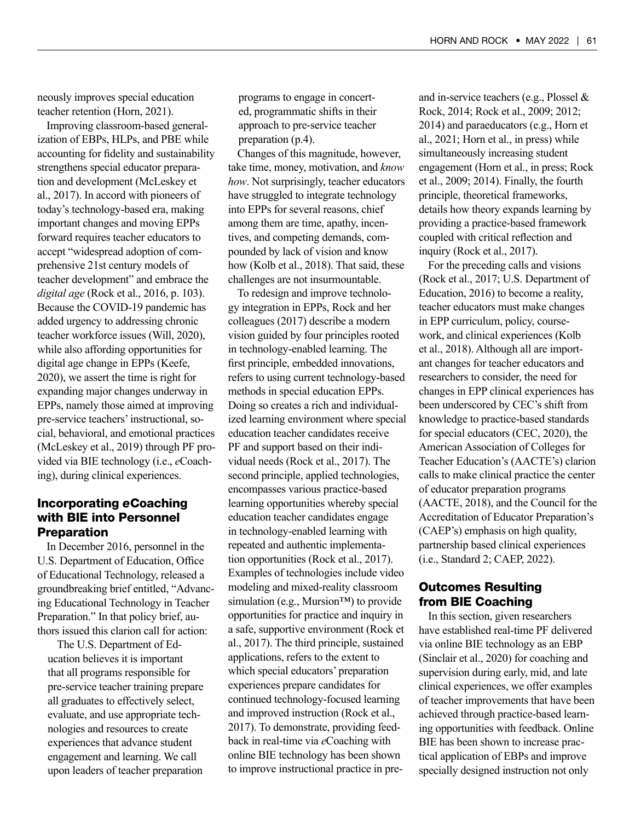neously improves special education teacher retention (Horn, 2021).

Improving classroom-based generalization of EBPs, HLPs, and PBE while accounting for fidelity and sustainability strengthens special educator preparation and development (McLeskey et al., 2017). In accord with pioneers of today's technology-based era, making important changes and moving EPPs forward requires teacher educators to accept "widespread adoption of comprehensive 21st century models of teacher development" and embrace the *digital age* (Rock et al., 2016, p. 103). Because the COVID-19 pandemic has added urgency to addressing chronic teacher workforce issues (Will, 2020), while also affording opportunities for digital age change in EPPs (Keefe, 2020), we assert the time is right for expanding major changes underway in EPPs, namely those aimed at improving pre-service teachers' instructional, social, behavioral, and emotional practices (McLeskey et al., 2019) through PF provided via BIE technology (i.e., *e*Coaching), during clinical experiences.

## Incorporating *e*Coaching with BIE into Personnel **Preparation**

In December 2016, personnel in the U.S. Department of Education, Office of Educational Technology, released a groundbreaking brief entitled, "Advancing Educational Technology in Teacher Preparation." In that policy brief, authors issued this clarion call for action:

The U.S. Department of Education believes it is important that all programs responsible for pre-service teacher training prepare all graduates to effectively select, evaluate, and use appropriate technologies and resources to create experiences that advance student engagement and learning. We call upon leaders of teacher preparation

programs to engage in concerted, programmatic shifts in their approach to pre-service teacher preparation (p.4).

Changes of this magnitude, however, take time, money, motivation, and *know how*. Not surprisingly, teacher educators have struggled to integrate technology into EPPs for several reasons, chief among them are time, apathy, incentives, and competing demands, compounded by lack of vision and know how (Kolb et al., 2018). That said, these challenges are not insurmountable.

To redesign and improve technology integration in EPPs, Rock and her colleagues (2017) describe a modern vision guided by four principles rooted in technology-enabled learning. The first principle, embedded innovations, refers to using current technology-based methods in special education EPPs. Doing so creates a rich and individualized learning environment where special education teacher candidates receive PF and support based on their individual needs (Rock et al., 2017). The second principle, applied technologies, encompasses various practice-based learning opportunities whereby special education teacher candidates engage in technology-enabled learning with repeated and authentic implementation opportunities (Rock et al., 2017). Examples of technologies include video modeling and mixed-reality classroom simulation (e.g., Mursion™) to provide opportunities for practice and inquiry in a safe, supportive environment (Rock et al., 2017). The third principle, sustained applications, refers to the extent to which special educators' preparation experiences prepare candidates for continued technology-focused learning and improved instruction (Rock et al., 2017). To demonstrate, providing feedback in real-time via *e*Coaching with online BIE technology has been shown to improve instructional practice in preand in-service teachers (e.g., Plossel & Rock, 2014; Rock et al., 2009; 2012; 2014) and paraeducators (e.g., Horn et al., 2021; Horn et al., in press) while simultaneously increasing student engagement (Horn et al., in press; Rock et al., 2009; 2014). Finally, the fourth principle, theoretical frameworks, details how theory expands learning by providing a practice-based framework coupled with critical reflection and inquiry (Rock et al., 2017).

For the preceding calls and visions (Rock et al., 2017; U.S. Department of Education, 2016) to become a reality, teacher educators must make changes in EPP curriculum, policy, coursework, and clinical experiences (Kolb et al., 2018). Although all are important changes for teacher educators and researchers to consider, the need for changes in EPP clinical experiences has been underscored by CEC's shift from knowledge to practice-based standards for special educators (CEC, 2020), the American Association of Colleges for Teacher Education's (AACTE's) clarion calls to make clinical practice the center of educator preparation programs (AACTE, 2018), and the Council for the Accreditation of Educator Preparation's (CAEP's) emphasis on high quality, partnership based clinical experiences (i.e., Standard 2; CAEP, 2022).

# Outcomes Resulting from BIE Coaching

In this section, given researchers have established real-time PF delivered via online BIE technology as an EBP (Sinclair et al., 2020) for coaching and supervision during early, mid, and late clinical experiences, we offer examples of teacher improvements that have been achieved through practice-based learning opportunities with feedback. Online BIE has been shown to increase practical application of EBPs and improve specially designed instruction not only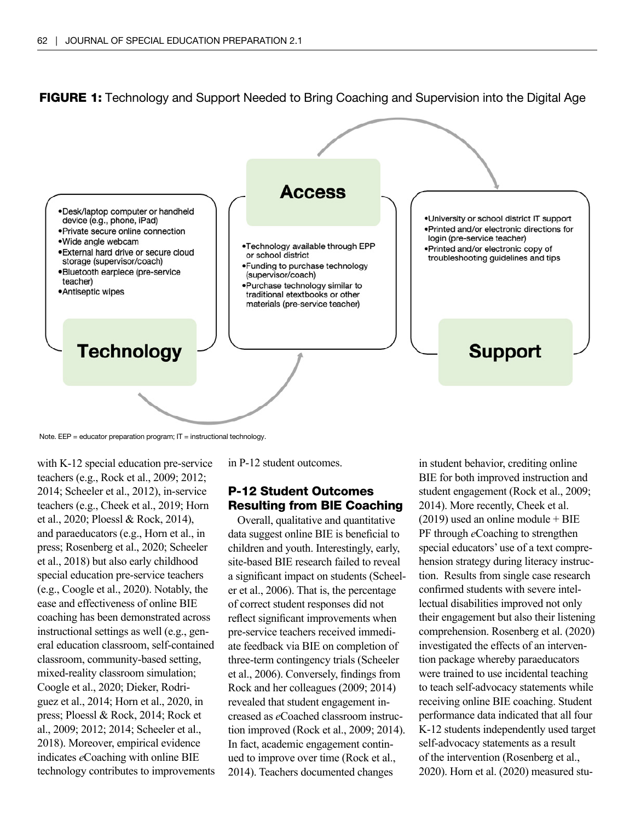



Note.  $EEP =$  educator preparation program;  $IT =$  instructional technology.

with K-12 special education pre-service teachers (e.g., Rock et al., 2009; 2012; 2014; Scheeler et al., 2012), in-service teachers (e.g., Cheek et al., 2019; Horn et al., 2020; Ploessl & Rock, 2014), and paraeducators (e.g., Horn et al., in press; Rosenberg et al., 2020; Scheeler et al., 2018) but also early childhood special education pre-service teachers (e.g., Coogle et al., 2020). Notably, the ease and effectiveness of online BIE coaching has been demonstrated across instructional settings as well (e.g., general education classroom, self-contained classroom, community-based setting, mixed-reality classroom simulation; Coogle et al., 2020; Dieker, Rodriguez et al., 2014; Horn et al., 2020, in press; Ploessl & Rock, 2014; Rock et al., 2009; 2012; 2014; Scheeler et al., 2018). Moreover, empirical evidence indicates *e*Coaching with online BIE technology contributes to improvements in P-12 student outcomes.

## P-12 Student Outcomes Resulting from BIE Coaching

Overall, qualitative and quantitative data suggest online BIE is beneficial to children and youth. Interestingly, early, site-based BIE research failed to reveal a significant impact on students (Scheeler et al., 2006). That is, the percentage of correct student responses did not reflect significant improvements when pre-service teachers received immediate feedback via BIE on completion of three-term contingency trials (Scheeler et al., 2006). Conversely, findings from Rock and her colleagues (2009; 2014) revealed that student engagement increased as *e*Coached classroom instruction improved (Rock et al., 2009; 2014). In fact, academic engagement continued to improve over time (Rock et al., 2014). Teachers documented changes

in student behavior, crediting online BIE for both improved instruction and student engagement (Rock et al., 2009; 2014). More recently, Cheek et al.  $(2019)$  used an online module + BIE PF through *e*Coaching to strengthen special educators' use of a text comprehension strategy during literacy instruction. Results from single case research confirmed students with severe intellectual disabilities improved not only their engagement but also their listening comprehension. Rosenberg et al. (2020) investigated the effects of an intervention package whereby paraeducators were trained to use incidental teaching to teach self-advocacy statements while receiving online BIE coaching. Student performance data indicated that all four K-12 students independently used target self-advocacy statements as a result of the intervention (Rosenberg et al., 2020). Horn et al. (2020) measured stu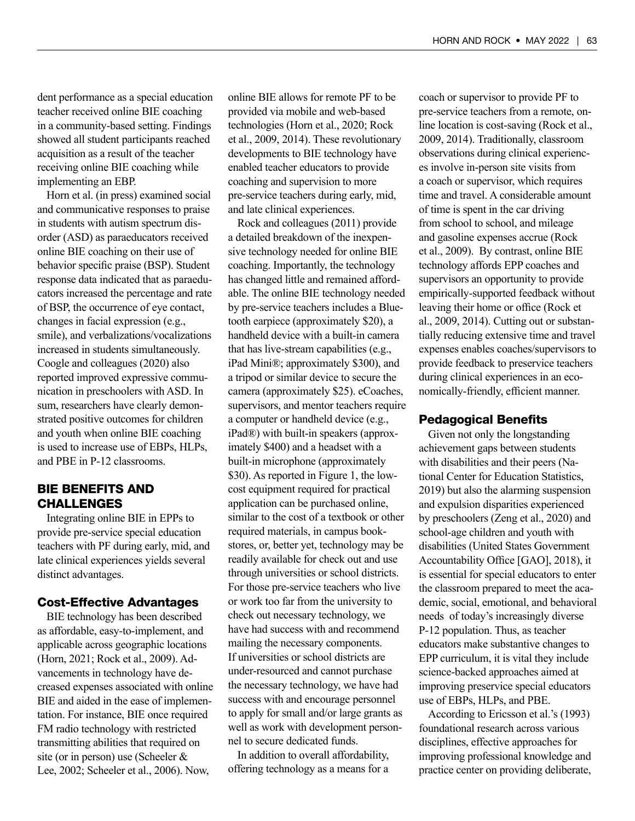dent performance as a special education teacher received online BIE coaching in a community-based setting. Findings showed all student participants reached acquisition as a result of the teacher receiving online BIE coaching while implementing an EBP.

Horn et al. (in press) examined social and communicative responses to praise in students with autism spectrum disorder (ASD) as paraeducators received online BIE coaching on their use of behavior specific praise (BSP). Student response data indicated that as paraeducators increased the percentage and rate of BSP, the occurrence of eye contact, changes in facial expression (e.g., smile), and verbalizations/vocalizations increased in students simultaneously. Coogle and colleagues (2020) also reported improved expressive communication in preschoolers with ASD. In sum, researchers have clearly demonstrated positive outcomes for children and youth when online BIE coaching is used to increase use of EBPs, HLPs, and PBE in P-12 classrooms.

# BIE BENEFITS AND CHALLENGES

Integrating online BIE in EPPs to provide pre-service special education teachers with PF during early, mid, and late clinical experiences yields several distinct advantages.

#### Cost-Effective Advantages

BIE technology has been described as affordable, easy-to-implement, and applicable across geographic locations (Horn, 2021; Rock et al., 2009). Advancements in technology have decreased expenses associated with online BIE and aided in the ease of implementation. For instance, BIE once required FM radio technology with restricted transmitting abilities that required on site (or in person) use (Scheeler & Lee, 2002; Scheeler et al., 2006). Now,

online BIE allows for remote PF to be provided via mobile and web-based technologies (Horn et al., 2020; Rock et al., 2009, 2014). These revolutionary developments to BIE technology have enabled teacher educators to provide coaching and supervision to more pre-service teachers during early, mid, and late clinical experiences.

Rock and colleagues (2011) provide a detailed breakdown of the inexpensive technology needed for online BIE coaching. Importantly, the technology has changed little and remained affordable. The online BIE technology needed by pre-service teachers includes a Bluetooth earpiece (approximately \$20), a handheld device with a built-in camera that has live-stream capabilities (e.g., iPad Mini®; approximately \$300), and a tripod or similar device to secure the camera (approximately \$25). eCoaches, supervisors, and mentor teachers require a computer or handheld device (e.g., iPad®) with built-in speakers (approximately \$400) and a headset with a built-in microphone (approximately \$30). As reported in Figure 1, the lowcost equipment required for practical application can be purchased online, similar to the cost of a textbook or other required materials, in campus bookstores, or, better yet, technology may be readily available for check out and use through universities or school districts. For those pre-service teachers who live or work too far from the university to check out necessary technology, we have had success with and recommend mailing the necessary components. If universities or school districts are under-resourced and cannot purchase the necessary technology, we have had success with and encourage personnel to apply for small and/or large grants as well as work with development personnel to secure dedicated funds.

In addition to overall affordability, offering technology as a means for a

coach or supervisor to provide PF to pre-service teachers from a remote, online location is cost-saving (Rock et al., 2009, 2014). Traditionally, classroom observations during clinical experiences involve in-person site visits from a coach or supervisor, which requires time and travel. A considerable amount of time is spent in the car driving from school to school, and mileage and gasoline expenses accrue (Rock et al., 2009). By contrast, online BIE technology affords EPP coaches and supervisors an opportunity to provide empirically-supported feedback without leaving their home or office (Rock et al., 2009, 2014). Cutting out or substantially reducing extensive time and travel expenses enables coaches/supervisors to provide feedback to preservice teachers during clinical experiences in an economically-friendly, efficient manner.

#### Pedagogical Benefits

Given not only the longstanding achievement gaps between students with disabilities and their peers (National Center for Education Statistics, 2019) but also the alarming suspension and expulsion disparities experienced by preschoolers (Zeng et al., 2020) and school-age children and youth with disabilities (United States Government Accountability Office [GAO], 2018), it is essential for special educators to enter the classroom prepared to meet the academic, social, emotional, and behavioral needs of today's increasingly diverse P-12 population. Thus, as teacher educators make substantive changes to EPP curriculum, it is vital they include science-backed approaches aimed at improving preservice special educators use of EBPs, HLPs, and PBE.

According to Ericsson et al.'s (1993) foundational research across various disciplines, effective approaches for improving professional knowledge and practice center on providing deliberate,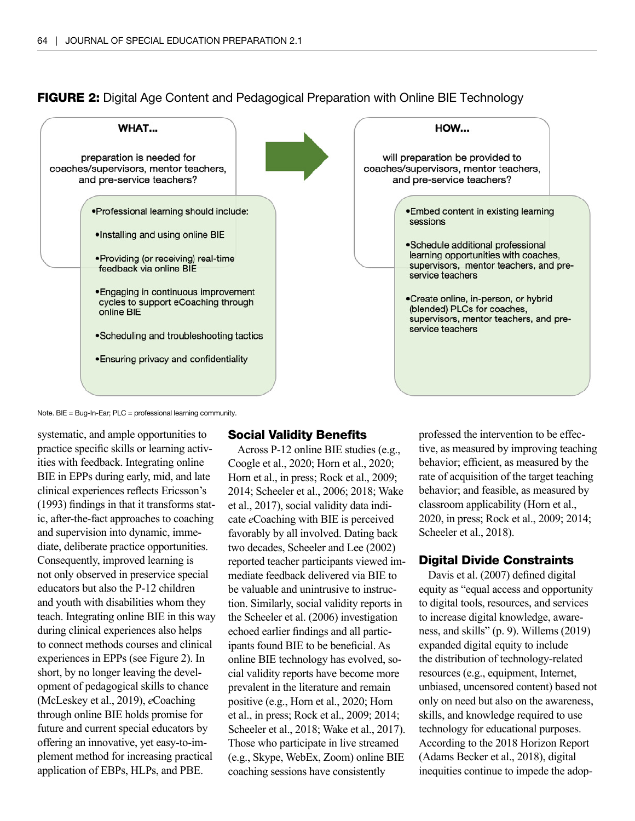



Note. BIE = Bug-In-Ear; PLC = professional learning community.

systematic, and ample opportunities to practice specific skills or learning activities with feedback. Integrating online BIE in EPPs during early, mid, and late clinical experiences reflects Ericsson's (1993) findings in that it transforms static, after-the-fact approaches to coaching and supervision into dynamic, immediate, deliberate practice opportunities. Consequently, improved learning is not only observed in preservice special educators but also the P-12 children and youth with disabilities whom they teach. Integrating online BIE in this way during clinical experiences also helps to connect methods courses and clinical experiences in EPPs (see Figure 2). In short, by no longer leaving the development of pedagogical skills to chance (McLeskey et al., 2019), *e*Coaching through online BIE holds promise for future and current special educators by offering an innovative, yet easy-to-implement method for increasing practical application of EBPs, HLPs, and PBE.

#### Social Validity Benefits

Across P-12 online BIE studies (e.g., Coogle et al., 2020; Horn et al., 2020; Horn et al., in press; Rock et al., 2009; 2014; Scheeler et al., 2006; 2018; Wake et al., 2017), social validity data indicate *e*Coaching with BIE is perceived favorably by all involved. Dating back two decades, Scheeler and Lee (2002) reported teacher participants viewed immediate feedback delivered via BIE to be valuable and unintrusive to instruction. Similarly, social validity reports in the Scheeler et al. (2006) investigation echoed earlier findings and all participants found BIE to be beneficial. As online BIE technology has evolved, social validity reports have become more prevalent in the literature and remain positive (e.g., Horn et al., 2020; Horn et al., in press; Rock et al., 2009; 2014; Scheeler et al., 2018; Wake et al., 2017). Those who participate in live streamed (e.g., Skype, WebEx, Zoom) online BIE coaching sessions have consistently

professed the intervention to be effective, as measured by improving teaching behavior; efficient, as measured by the rate of acquisition of the target teaching behavior; and feasible, as measured by classroom applicability (Horn et al., 2020, in press; Rock et al., 2009; 2014; Scheeler et al., 2018).

# Digital Divide Constraints

Davis et al. (2007) defined digital equity as "equal access and opportunity to digital tools, resources, and services to increase digital knowledge, awareness, and skills" (p. 9). Willems (2019) expanded digital equity to include the distribution of technology-related resources (e.g., equipment, Internet, unbiased, uncensored content) based not only on need but also on the awareness, skills, and knowledge required to use technology for educational purposes. According to the 2018 Horizon Report (Adams Becker et al., 2018), digital inequities continue to impede the adop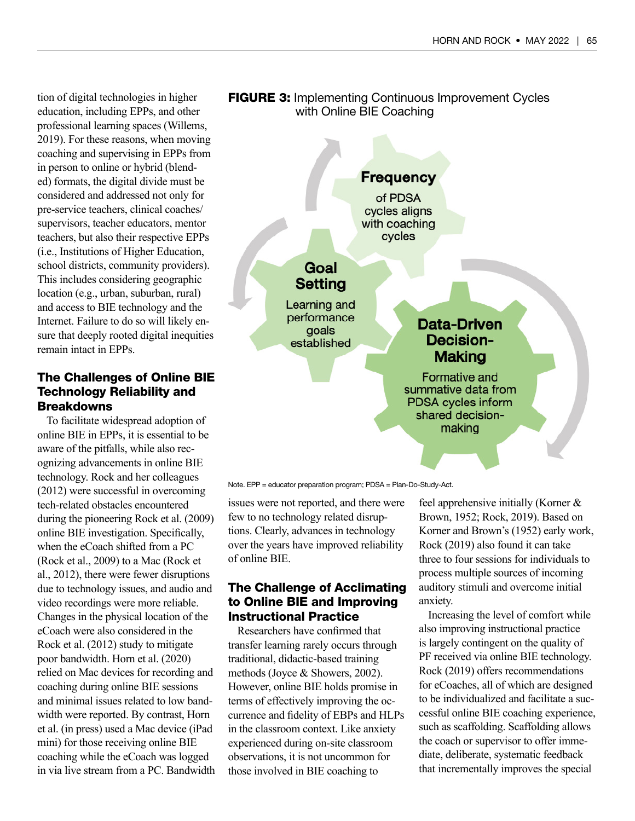tion of digital technologies in higher education, including EPPs, and other professional learning spaces (Willems, 2019). For these reasons, when moving coaching and supervising in EPPs from in person to online or hybrid (blended) formats, the digital divide must be considered and addressed not only for pre-service teachers, clinical coaches/ supervisors, teacher educators, mentor teachers, but also their respective EPPs (i.e., Institutions of Higher Education, school districts, community providers). This includes considering geographic location (e.g., urban, suburban, rural) and access to BIE technology and the Internet. Failure to do so will likely ensure that deeply rooted digital inequities remain intact in EPPs.

# The Challenges of Online BIE Technology Reliability and **Breakdowns**

To facilitate widespread adoption of online BIE in EPPs, it is essential to be aware of the pitfalls, while also recognizing advancements in online BIE technology. Rock and her colleagues (2012) were successful in overcoming tech-related obstacles encountered during the pioneering Rock et al. (2009) online BIE investigation. Specifically, when the eCoach shifted from a PC (Rock et al., 2009) to a Mac (Rock et al., 2012), there were fewer disruptions due to technology issues, and audio and video recordings were more reliable. Changes in the physical location of the eCoach were also considered in the Rock et al. (2012) study to mitigate poor bandwidth. Horn et al. (2020) relied on Mac devices for recording and coaching during online BIE sessions and minimal issues related to low bandwidth were reported. By contrast, Horn et al. (in press) used a Mac device (iPad mini) for those receiving online BIE coaching while the eCoach was logged in via live stream from a PC. Bandwidth



**FIGURE 3:** Implementing Continuous Improvement Cycles

Note. EPP = educator preparation program; PDSA = Plan-Do-Study-Act.

issues were not reported, and there were few to no technology related disruptions. Clearly, advances in technology over the years have improved reliability of online BIE.

# The Challenge of Acclimating to Online BIE and Improving Instructional Practice

Researchers have confirmed that transfer learning rarely occurs through traditional, didactic-based training methods (Joyce & Showers, 2002). However, online BIE holds promise in terms of effectively improving the occurrence and fidelity of EBPs and HLPs in the classroom context. Like anxiety experienced during on-site classroom observations, it is not uncommon for those involved in BIE coaching to

feel apprehensive initially (Korner & Brown, 1952; Rock, 2019). Based on Korner and Brown's (1952) early work, Rock (2019) also found it can take three to four sessions for individuals to process multiple sources of incoming auditory stimuli and overcome initial anxiety.

Increasing the level of comfort while also improving instructional practice is largely contingent on the quality of PF received via online BIE technology. Rock (2019) offers recommendations for eCoaches, all of which are designed to be individualized and facilitate a successful online BIE coaching experience, such as scaffolding. Scaffolding allows the coach or supervisor to offer immediate, deliberate, systematic feedback that incrementally improves the special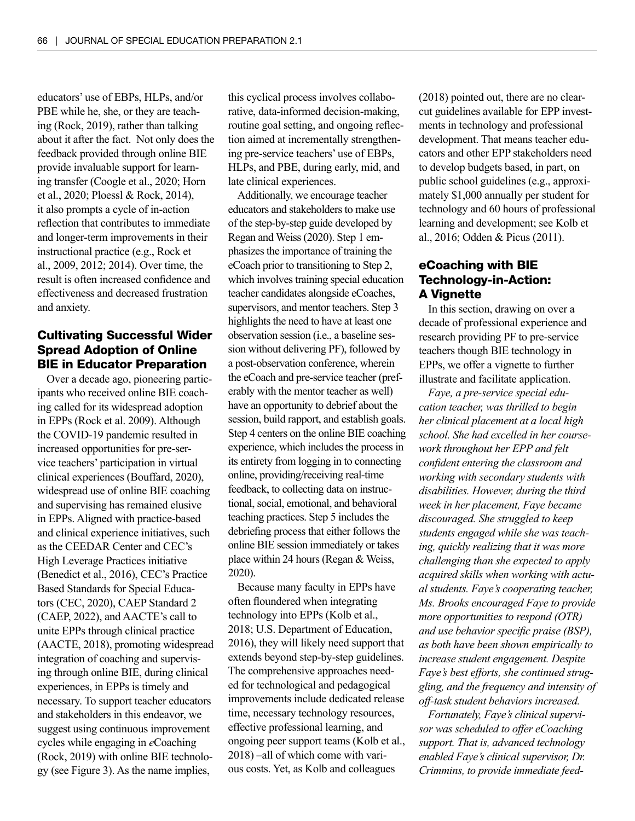educators' use of EBPs, HLPs, and/or PBE while he, she, or they are teaching (Rock, 2019), rather than talking about it after the fact. Not only does the feedback provided through online BIE provide invaluable support for learning transfer (Coogle et al., 2020; Horn et al., 2020; Ploessl & Rock, 2014), it also prompts a cycle of in-action reflection that contributes to immediate and longer-term improvements in their instructional practice (e.g., Rock et al., 2009, 2012; 2014). Over time, the result is often increased confidence and effectiveness and decreased frustration and anxiety.

# Cultivating Successful Wider Spread Adoption of Online BIE in Educator Preparation

Over a decade ago, pioneering participants who received online BIE coaching called for its widespread adoption in EPPs (Rock et al. 2009). Although the COVID-19 pandemic resulted in increased opportunities for pre-service teachers' participation in virtual clinical experiences (Bouffard, 2020), widespread use of online BIE coaching and supervising has remained elusive in EPPs. Aligned with practice-based and clinical experience initiatives, such as the CEEDAR Center and CEC's High Leverage Practices initiative (Benedict et al., 2016), CEC's Practice Based Standards for Special Educators (CEC, 2020), CAEP Standard 2 (CAEP, 2022), and AACTE's call to unite EPPs through clinical practice (AACTE, 2018), promoting widespread integration of coaching and supervising through online BIE, during clinical experiences, in EPPs is timely and necessary. To support teacher educators and stakeholders in this endeavor, we suggest using continuous improvement cycles while engaging in *e*Coaching (Rock, 2019) with online BIE technology (see Figure 3). As the name implies,

this cyclical process involves collaborative, data-informed decision-making, routine goal setting, and ongoing reflection aimed at incrementally strengthening pre-service teachers' use of EBPs, HLPs, and PBE, during early, mid, and late clinical experiences.

Additionally, we encourage teacher educators and stakeholders to make use of the step-by-step guide developed by Regan and Weiss (2020). Step 1 emphasizes the importance of training the eCoach prior to transitioning to Step 2, which involves training special education teacher candidates alongside eCoaches, supervisors, and mentor teachers. Step 3 highlights the need to have at least one observation session (i.e., a baseline session without delivering PF), followed by a post-observation conference, wherein the eCoach and pre-service teacher (preferably with the mentor teacher as well) have an opportunity to debrief about the session, build rapport, and establish goals. Step 4 centers on the online BIE coaching experience, which includes the process in its entirety from logging in to connecting online, providing/receiving real-time feedback, to collecting data on instructional, social, emotional, and behavioral teaching practices. Step 5 includes the debriefing process that either follows the online BIE session immediately or takes place within 24 hours (Regan & Weiss, 2020).

Because many faculty in EPPs have often floundered when integrating technology into EPPs (Kolb et al., 2018; U.S. Department of Education, 2016), they will likely need support that extends beyond step-by-step guidelines. The comprehensive approaches needed for technological and pedagogical improvements include dedicated release time, necessary technology resources, effective professional learning, and ongoing peer support teams (Kolb et al., 2018) –all of which come with various costs. Yet, as Kolb and colleagues

(2018) pointed out, there are no clearcut guidelines available for EPP investments in technology and professional development. That means teacher educators and other EPP stakeholders need to develop budgets based, in part, on public school guidelines (e.g., approximately \$1,000 annually per student for technology and 60 hours of professional learning and development; see Kolb et al., 2016; Odden & Picus (2011).

# eCoaching with BIE Technology-in-Action: A Vignette

In this section, drawing on over a decade of professional experience and research providing PF to pre-service teachers though BIE technology in EPPs, we offer a vignette to further illustrate and facilitate application.

*Faye, a pre-service special education teacher, was thrilled to begin her clinical placement at a local high school. She had excelled in her coursework throughout her EPP and felt confident entering the classroom and working with secondary students with disabilities. However, during the third week in her placement, Faye became discouraged. She struggled to keep students engaged while she was teaching, quickly realizing that it was more challenging than she expected to apply acquired skills when working with actual students. Faye's cooperating teacher, Ms. Brooks encouraged Faye to provide more opportunities to respond (OTR) and use behavior specific praise (BSP), as both have been shown empirically to increase student engagement. Despite Faye's best efforts, she continued struggling, and the frequency and intensity of off-task student behaviors increased.* 

*Fortunately, Faye's clinical supervisor was scheduled to offer eCoaching support. That is, advanced technology enabled Faye's clinical supervisor, Dr. Crimmins, to provide immediate feed-*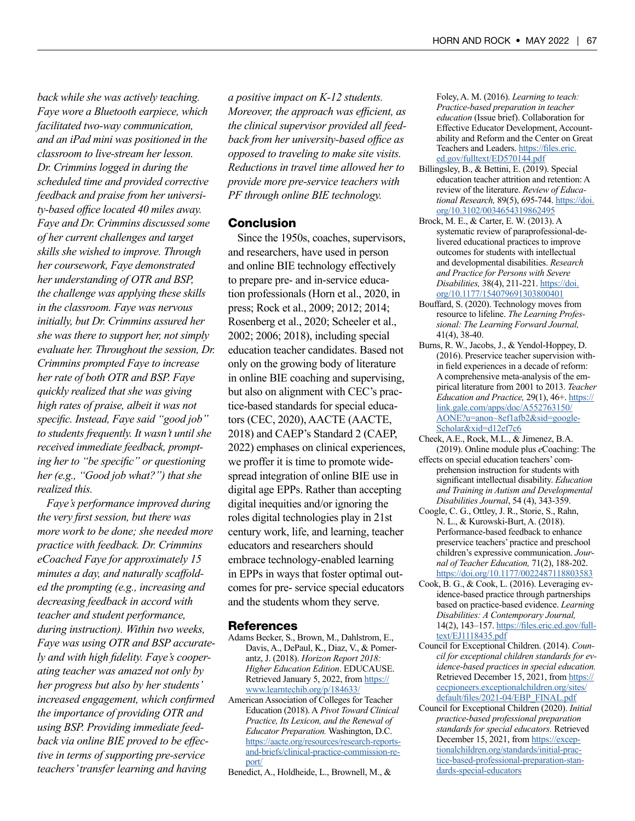*back while she was actively teaching. Faye wore a Bluetooth earpiece, which facilitated two-way communication, and an iPad mini was positioned in the classroom to live-stream her lesson. Dr. Crimmins logged in during the scheduled time and provided corrective feedback and praise from her university-based office located 40 miles away. Faye and Dr. Crimmins discussed some of her current challenges and target skills she wished to improve. Through her coursework, Faye demonstrated her understanding of OTR and BSP, the challenge was applying these skills in the classroom. Faye was nervous initially, but Dr. Crimmins assured her she was there to support her, not simply evaluate her. Throughout the session, Dr. Crimmins prompted Faye to increase her rate of both OTR and BSP. Faye quickly realized that she was giving high rates of praise, albeit it was not specific. Instead, Faye said "good job" to students frequently. It wasn't until she received immediate feedback, prompting her to "be specific" or questioning her (e.g., "Good job what?") that she realized this.*

*Faye's performance improved during the very first session, but there was more work to be done; she needed more practice with feedback. Dr. Crimmins eCoached Faye for approximately 15 minutes a day, and naturally scaffolded the prompting (e.g., increasing and decreasing feedback in accord with teacher and student performance, during instruction). Within two weeks, Faye was using OTR and BSP accurately and with high fidelity. Faye's cooperating teacher was amazed not only by her progress but also by her students' increased engagement, which confirmed the importance of providing OTR and using BSP. Providing immediate feedback via online BIE proved to be effective in terms of supporting pre-service teachers' transfer learning and having* 

*a positive impact on K-12 students. Moreover, the approach was efficient, as the clinical supervisor provided all feedback from her university-based office as opposed to traveling to make site visits. Reductions in travel time allowed her to provide more pre-service teachers with PF through online BIE technology.*

#### Conclusion

Since the 1950s, coaches, supervisors, and researchers, have used in person and online BIE technology effectively to prepare pre- and in-service education professionals (Horn et al., 2020, in press; Rock et al., 2009; 2012; 2014; Rosenberg et al., 2020; Scheeler et al., 2002; 2006; 2018), including special education teacher candidates. Based not only on the growing body of literature in online BIE coaching and supervising, but also on alignment with CEC's practice-based standards for special educators (CEC, 2020), AACTE (AACTE, 2018) and CAEP's Standard 2 (CAEP, 2022) emphases on clinical experiences, we proffer it is time to promote widespread integration of online BIE use in digital age EPPs. Rather than accepting digital inequities and/or ignoring the roles digital technologies play in 21st century work, life, and learning, teacher educators and researchers should embrace technology-enabled learning in EPPs in ways that foster optimal outcomes for pre- service special educators and the students whom they serve.

#### References

- Adams Becker, S., Brown, M., Dahlstrom, E., Davis, A., DePaul, K., Diaz, V., & Pomerantz, J. (2018). *Horizon Report 2018: Higher Education Edition*. EDUCAUSE. Retrieved January 5, 2022, from [https://](https://www.learntechib.org/p/184633/) [www.learntechib.org/p/184633/](https://www.learntechib.org/p/184633/)
- American Association of Colleges for Teacher Education (2018). A *Pivot Toward Clinical Practice, Its Lexicon, and the Renewal of Educator Preparation.* Washington, D.C. [https://aacte.org/resources/research-reports](https://aacte.org/resources/research-reports-and-briefs/clinical-practice-commission-report/)[and-briefs/clinical-practice-commission-re](https://aacte.org/resources/research-reports-and-briefs/clinical-practice-commission-report/)[port/](https://aacte.org/resources/research-reports-and-briefs/clinical-practice-commission-report/)
- Benedict, A., Holdheide, L., Brownell, M., &

Foley, A. M. (2016). *Learning to teach: Practice-based preparation in teacher education* (Issue brief). Collaboration for Effective Educator Development, Accountability and Reform and the Center on Great Teachers and Leaders. [https://files.eric.](https://files.eric.ed.gov/fulltext/ED570144.pdf) [ed.gov/fulltext/ED570144.pdf](https://files.eric.ed.gov/fulltext/ED570144.pdf)

- Billingsley, B., & Bettini, E. (2019). Special education teacher attrition and retention: A review of the literature. *Review of Educational Research,* 89(5), 695-744. [https://doi.](https://doi.org/10.3102/0034654319862495) [org/10.3102/0034654319862495](https://doi.org/10.3102/0034654319862495)
- Brock, M. E., & Carter, E. W. (2013). A systematic review of paraprofessional-delivered educational practices to improve outcomes for students with intellectual and developmental disabilities. *Research and Practice for Persons with Severe Disabilities,* 38(4), 211-221. [https://doi.](https://doi.org/10.1177/154079691303800401) [org/10.1177/154079691303800401](https://doi.org/10.1177/154079691303800401)
- Bouffard, S. (2020). Technology moves from resource to lifeline. *The Learning Professional: The Learning Forward Journal,*  41(4), 38-40.
- Burns, R. W., Jacobs, J., & Yendol-Hoppey, D. (2016). Preservice teacher supervision within field experiences in a decade of reform: A comprehensive meta-analysis of the empirical literature from 2001 to 2013. *Teacher Education and Practice,* 29(1), 46+. [https://](https://link.gale.com/apps/doc/A552763150/AONE?u=anon~8ef1afb2&sid=googleScholar&xid=d12ef7c6) [link.gale.com/apps/doc/A552763150/](https://link.gale.com/apps/doc/A552763150/AONE?u=anon~8ef1afb2&sid=googleScholar&xid=d12ef7c6) [AONE?u=anon~8ef1afb2&sid=google-](https://link.gale.com/apps/doc/A552763150/AONE?u=anon~8ef1afb2&sid=googleScholar&xid=d12ef7c6)[Scholar&xid=d12ef7c6](https://link.gale.com/apps/doc/A552763150/AONE?u=anon~8ef1afb2&sid=googleScholar&xid=d12ef7c6)
- Cheek, A.E., Rock, M.L., & Jimenez, B.A. (2019). Online module plus *e*Coaching: The
- effects on special education teachers' comprehension instruction for students with significant intellectual disability. *Education and Training in Autism and Developmental Disabilities Journal*, 54 (4), 343-359.
- Coogle, C. G., Ottley, J. R., Storie, S., Rahn, N. L., & Kurowski-Burt, A. (2018). Performance-based feedback to enhance preservice teachers' practice and preschool children's expressive communication. *Journal of Teacher Education,* 71(2), 188-202. <https://doi.org/10.1177/0022487118803583>
- Cook, B. G., & Cook, L. (2016). Leveraging evidence-based practice through partnerships based on practice-based evidence. *Learning Disabilities: A Contemporary Journal,* 14(2), 143–157. [https://files.eric.ed.gov/full](https://files.eric.ed.gov/fulltext/EJ1118435.pdf)[text/EJ1118435.pdf](https://files.eric.ed.gov/fulltext/EJ1118435.pdf)
- Council for Exceptional Children. (2014). *Council for exceptional children standards for evidence-based practices in special education.* Retrieved December 15, 2021, from [https://](https://cecpioneers.exceptionalchildren.org/sites/default/files/2021-04/EBP_FINAL.pdf) [cecpioneers.exceptionalchildren.org/sites/](https://cecpioneers.exceptionalchildren.org/sites/default/files/2021-04/EBP_FINAL.pdf) [default/files/2021-04/EBP\\_FINAL.pdf](https://cecpioneers.exceptionalchildren.org/sites/default/files/2021-04/EBP_FINAL.pdf)
- Council for Exceptional Children (2020). *Initial practice-based professional preparation standards for special educators.* Retrieved December 15, 2021, from [https://excep](https://exceptionalchildren.org/standards/initial-practice-based-professional-preparation-standards-special-educators)[tionalchildren.org/standards/initial-prac](https://exceptionalchildren.org/standards/initial-practice-based-professional-preparation-standards-special-educators)[tice-based-professional-preparation-stan](https://exceptionalchildren.org/standards/initial-practice-based-professional-preparation-standards-special-educators)[dards-special-educators](https://exceptionalchildren.org/standards/initial-practice-based-professional-preparation-standards-special-educators)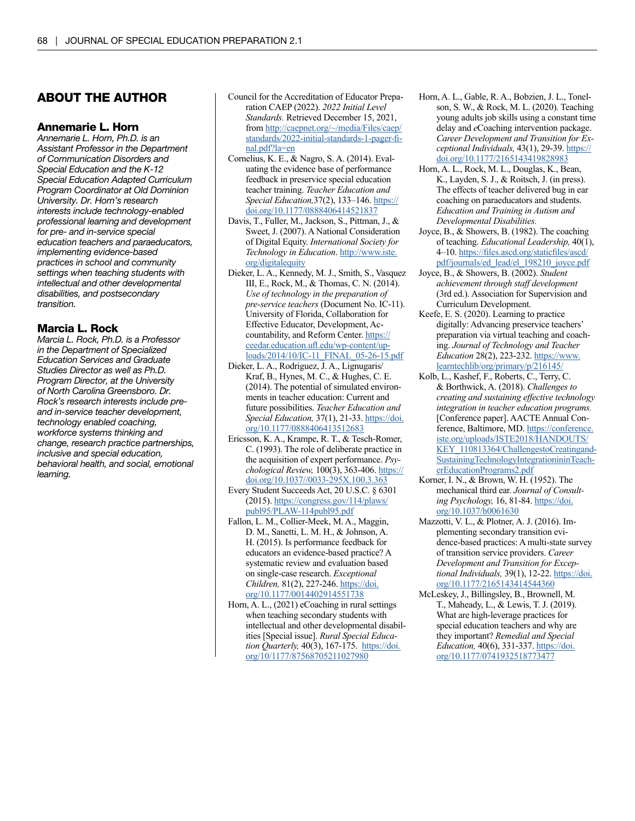#### ABOUT THE AUTHOR

#### Annemarie L. Horn

*Annemarie L. Horn, Ph.D. is an Assistant Professor in the Department of Communication Disorders and Special Education and the K-12 Special Education Adapted Curriculum Program Coordinator at Old Dominion University. Dr. Horn's research interests include technology-enabled professional learning and development for pre- and in-service special education teachers and paraeducators, implementing evidence-based practices in school and community settings when teaching students with intellectual and other developmental disabilities, and postsecondary transition.* 

#### Marcia L. Rock

*Marcia L. Rock, Ph.D. is a Professor in the Department of Specialized Education Services and Graduate Studies Director as well as Ph.D. Program Director, at the University of North Carolina Greensboro. Dr. Rock's research interests include preand in-service teacher development, technology enabled coaching, workforce systems thinking and change, research practice partnerships, inclusive and special education, behavioral health, and social, emotional learning.* 

- Council for the Accreditation of Educator Preparation CAEP (2022). *2022 Initial Level Standards.* Retrieved December 15, 2021, from [http://caepnet.org/~/media/Files/caep/](http://caepnet.org/~/media/Files/caep/standards/2022-initial-standards-1-pager-final.pdf?la=en) [standards/2022-initial-standards-1-pager-fi](http://caepnet.org/~/media/Files/caep/standards/2022-initial-standards-1-pager-final.pdf?la=en)[nal.pdf?la=en](http://caepnet.org/~/media/Files/caep/standards/2022-initial-standards-1-pager-final.pdf?la=en)
- Cornelius, K. E., & Nagro, S. A. (2014). Evaluating the evidence base of performance feedback in preservice special education teacher training. *Teacher Education and Special Education,*37(2), 133–146. [https://](https://doi.org/10.1177/0888406414521837) [doi.org/10.1177/0888406414521837](https://doi.org/10.1177/0888406414521837)
- Davis, T., Fuller, M., Jackson, S., Pittman, J., & Sweet, J. (2007). A National Consideration of Digital Equity. *International Society for Technology in Education*. [http://www.iste.](http://www.iste.org/digitalequity) [org/digitalequity](http://www.iste.org/digitalequity)
- Dieker, L. A., Kennedy, M. J., Smith, S., Vasquez III, E., Rock, M., & Thomas, C. N. (2014). *Use of technology in the preparation of pre-service teachers* (Document No. IC-11). University of Florida, Collaboration for Effective Educator, Development, Accountability, and Reform Center. [https://](https://ceedar.education.ufl.edu/wp-content/uploads/2014/10/IC-11_FINAL_05-26-15.pdf) [ceedar.education.ufl.edu/wp-content/up](https://ceedar.education.ufl.edu/wp-content/uploads/2014/10/IC-11_FINAL_05-26-15.pdf)[loads/2014/10/IC-11\\_FINAL\\_05-26-15.pdf](https://ceedar.education.ufl.edu/wp-content/uploads/2014/10/IC-11_FINAL_05-26-15.pdf)
- Dieker, L. A., Rodriguez, J. A., Lignugaris/ Kraf, B., Hynes, M. C., & Hughes, C. E. (2014). The potential of simulated environments in teacher education: Current and future possibilities. *Teacher Education and Special Education,* 37(1), 21-33. [https://doi.](https://doi.org/10.1177/0888406413512683) [org/10.1177/0888406413512683](https://doi.org/10.1177/0888406413512683)
- Ericsson, K. A., Krampe, R. T., & Tesch-Romer, C. (1993). The role of deliberate practice in the acquisition of expert performance. *Psychological Review,* 100(3), 363-406. [https://](https://doi.org/10.1037//0033-295X.100.3.363) [doi.org/10.1037//0033-295X.100.3.363](https://doi.org/10.1037//0033-295X.100.3.363)
- Every Student Succeeds Act, 20 U.S.C. § 6301 (2015). [https://congress.gov/114/plaws/](https://congress.gov/114/plaws/publ95/PLAW-114publ95.pdf) [publ95/PLAW-114publ95.pdf](https://congress.gov/114/plaws/publ95/PLAW-114publ95.pdf)
- Fallon, L. M., Collier-Meek, M. A., Maggin, D. M., Sanetti, L. M. H., & Johnson, A. H. (2015). Is performance feedback for educators an evidence-based practice? A systematic review and evaluation based on single-case research. *Exceptional Children,* 81(2), 227-246. [https://doi.](https://doi.org/10.1177/0014402914551738) [org/10.1177/0014402914551738](https://doi.org/10.1177/0014402914551738)
- Horn, A. L., (2021) eCoaching in rural settings when teaching secondary students with intellectual and other developmental disabilities [Special issue]. *Rural Special Education Quarterly,* 40(3), 167-175. [https://doi.](https://doi.org/10/1177/87568705211027980) [org/10/1177/87568705211027980](https://doi.org/10/1177/87568705211027980)
- Horn, A. L., Gable, R. A., Bobzien, J. L., Tonelson, S. W., & Rock, M. L. (2020). Teaching young adults job skills using a constant time delay and *e*Coaching intervention package. *Career Development and Transition for Exceptional Individuals,* 43(1), 29-39. [https://](https://doi.org/10.1177/2165143419828983) [doi.org/10.1177/2165143419828983](https://doi.org/10.1177/2165143419828983)
- Horn, A. L., Rock, M. L., Douglas, K., Bean, K., Layden, S. J., & Roitsch, J. (in press). The effects of teacher delivered bug in ear coaching on paraeducators and students. *Education and Training in Autism and Developmental Disabilities.*
- Joyce, B., & Showers, B. (1982). The coaching of teaching. *Educational Leadership,* 40(1), 4–10. [https://files.ascd.org/staticfiles/ascd/](https://files.ascd.org/staticfiles/ascd/pdf/journals/ed_lead/el_198210_joyce.pdf) [pdf/journals/ed\\_lead/el\\_198210\\_joyce.pdf](https://files.ascd.org/staticfiles/ascd/pdf/journals/ed_lead/el_198210_joyce.pdf)
- Joyce, B., & Showers, B. (2002). *Student achievement through staff development* (3rd ed.). Association for Supervision and Curriculum Development.
- Keefe, E. S. (2020). Learning to practice digitally: Advancing preservice teachers' preparation via virtual teaching and coaching. *Journal of Technology and Teacher Education* 28(2), 223-232. [https://www.](https://www.learntechlib/org/primary/p/216145/) [learntechlib/org/primary/p/216145/](https://www.learntechlib/org/primary/p/216145/)
- Kolb, L., Kashef, F., Roberts, C., Terry, C. & Borthwick, A. (2018). *Challenges to creating and sustaining effective technology integration in teacher education programs.*  [Conference paper]. AACTE Annual Conference, Baltimore, MD. [https://conference.](https://conference.iste.org/uploads/ISTE2018/HANDOUTS/KEY_110813364/ChallengestoCreatingandSustainingTechnologyIntegrationininTeacherEducationPrograms2.pdf) [iste.org/uploads/ISTE2018/HANDOUTS/](https://conference.iste.org/uploads/ISTE2018/HANDOUTS/KEY_110813364/ChallengestoCreatingandSustainingTechnologyIntegrationininTeacherEducationPrograms2.pdf) [KEY\\_110813364/ChallengestoCreatingand](https://conference.iste.org/uploads/ISTE2018/HANDOUTS/KEY_110813364/ChallengestoCreatingandSustainingTechnologyIntegrationininTeacherEducationPrograms2.pdf)-[SustainingTechnologyIntegrationininTeach](https://conference.iste.org/uploads/ISTE2018/HANDOUTS/KEY_110813364/ChallengestoCreatingandSustainingTechnologyIntegrationininTeacherEducationPrograms2.pdf)[erEducationPrograms2.pdf](https://conference.iste.org/uploads/ISTE2018/HANDOUTS/KEY_110813364/ChallengestoCreatingandSustainingTechnologyIntegrationininTeacherEducationPrograms2.pdf)
- Korner, I. N., & Brown, W. H. (1952). The mechanical third ear. *Journal of Consulting Psychology,* 16, 81-84. [https://doi.](https://doi.org/10.1037/h0061630) [org/10.1037/h0061630](https://doi.org/10.1037/h0061630)
- Mazzotti, V. L., & Plotner, A. J. (2016). Implementing secondary transition evidence-based practices: A multi-state survey of transition service providers. *Career Development and Transition for Exceptional Individuals,* 39(1), 12-22. [https://doi.](https://doi.org/10.1177/2165143414544360) [org/10.1177/2165143414544360](https://doi.org/10.1177/2165143414544360)
- McLeskey, J., Billingsley, B., Brownell, M. T., Maheady, L., & Lewis, T. J. (2019). What are high-leverage practices for special education teachers and why are they important? *Remedial and Special Education,* 40(6), 331-337. [https://doi.](https://doi.org/10.1177/0741932518773477) [org/10.1177/0741932518773477](https://doi.org/10.1177/0741932518773477)